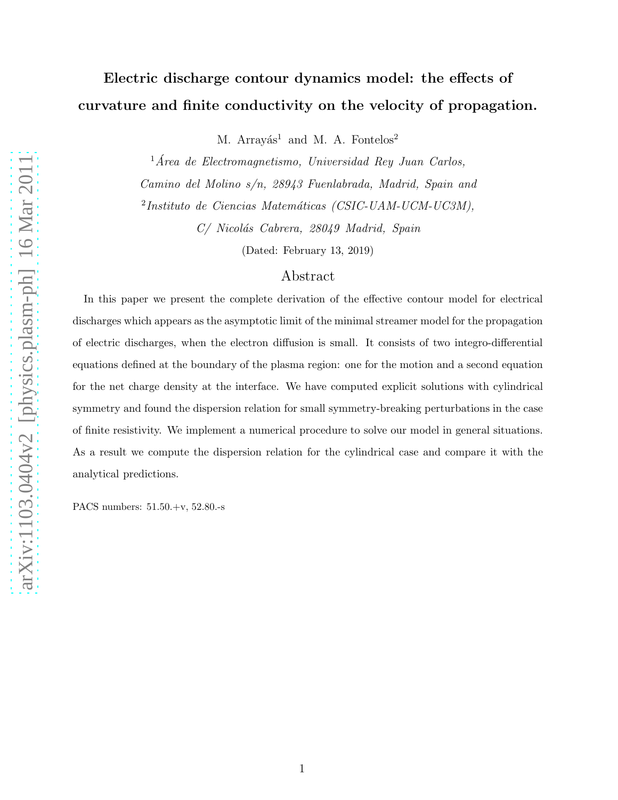# Electric discharge contour dynamics model: the effects of curvature and finite conductivity on the velocity of propagation.

M. Arrayás<sup>1</sup> and M. A. Fontelos<sup>2</sup>

 $1$ Área de Electromagnetismo, Universidad Rey Juan Carlos, Camino del Molino s/n, 28943 Fuenlabrada, Madrid, Spain and <sup>2</sup>Instituto de Ciencias Matemáticas (CSIC-UAM-UCM-UC3M),

C/ Nicolás Cabrera, 28049 Madrid, Spain

(Dated: February 13, 2019)

## Abstract

In this paper we present the complete derivation of the effective contour model for electrical discharges which appears as the asymptotic limit of the minimal streamer model for the propagation of electric discharges, when the electron diffusion is small. It consists of two integro-differential equations defined at the boundary of the plasma region: one for the motion and a second equation for the net charge density at the interface. We have computed explicit solutions with cylindrical symmetry and found the dispersion relation for small symmetry-breaking perturbations in the case of finite resistivity. We implement a numerical procedure to solve our model in general situations. As a result we compute the dispersion relation for the cylindrical case and compare it with the analytical predictions.

PACS numbers: 51.50.+v, 52.80.-s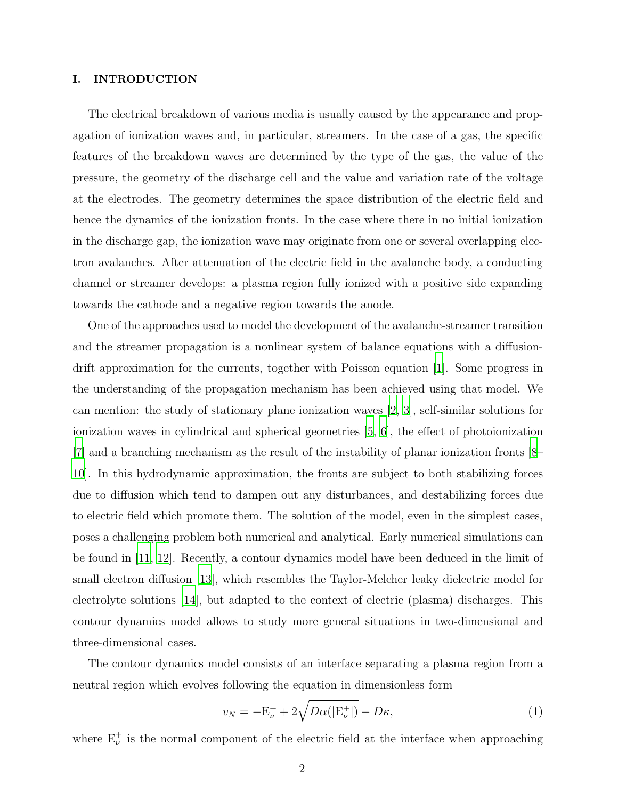## I. INTRODUCTION

The electrical breakdown of various media is usually caused by the appearance and propagation of ionization waves and, in particular, streamers. In the case of a gas, the specific features of the breakdown waves are determined by the type of the gas, the value of the pressure, the geometry of the discharge cell and the value and variation rate of the voltage at the electrodes. The geometry determines the space distribution of the electric field and hence the dynamics of the ionization fronts. In the case where there in no initial ionization in the discharge gap, the ionization wave may originate from one or several overlapping electron avalanches. After attenuation of the electric field in the avalanche body, a conducting channel or streamer develops: a plasma region fully ionized with a positive side expanding towards the cathode and a negative region towards the anode.

One of the approaches used to model the development of the avalanche-streamer transition and the streamer propagation is a nonlinear system of balance equations with a diffusiondrift approximation for the currents, together with Poisson equation [\[1](#page-18-0)]. Some progress in the understanding of the propagation mechanism has been achieved using that model. We can mention: the study of stationary plane ionization waves [\[2,](#page-18-1) [3\]](#page-18-2), self-similar solutions for ionization waves in cylindrical and spherical geometries [\[5,](#page-18-3) [6](#page-18-4)], the effect of photoionization [\[7](#page-18-5)] and a branching mechanism as the result of the instability of planar ionization fronts [\[8](#page-18-6)– [10\]](#page-18-7). In this hydrodynamic approximation, the fronts are subject to both stabilizing forces due to diffusion which tend to dampen out any disturbances, and destabilizing forces due to electric field which promote them. The solution of the model, even in the simplest cases, poses a challenging problem both numerical and analytical. Early numerical simulations can be found in [\[11,](#page-19-0) [12\]](#page-19-1). Recently, a contour dynamics model have been deduced in the limit of small electron diffusion [\[13\]](#page-19-2), which resembles the Taylor-Melcher leaky dielectric model for electrolyte solutions [\[14\]](#page-19-3), but adapted to the context of electric (plasma) discharges. This contour dynamics model allows to study more general situations in two-dimensional and three-dimensional cases.

The contour dynamics model consists of an interface separating a plasma region from a neutral region which evolves following the equation in dimensionless form

<span id="page-1-0"></span>
$$
v_N = -\mathcal{E}^+_{\nu} + 2\sqrt{D\alpha(|\mathcal{E}^+_{\nu}|)} - D\kappa,\tag{1}
$$

where  $E_{\nu}^{+}$  is the normal component of the electric field at the interface when approaching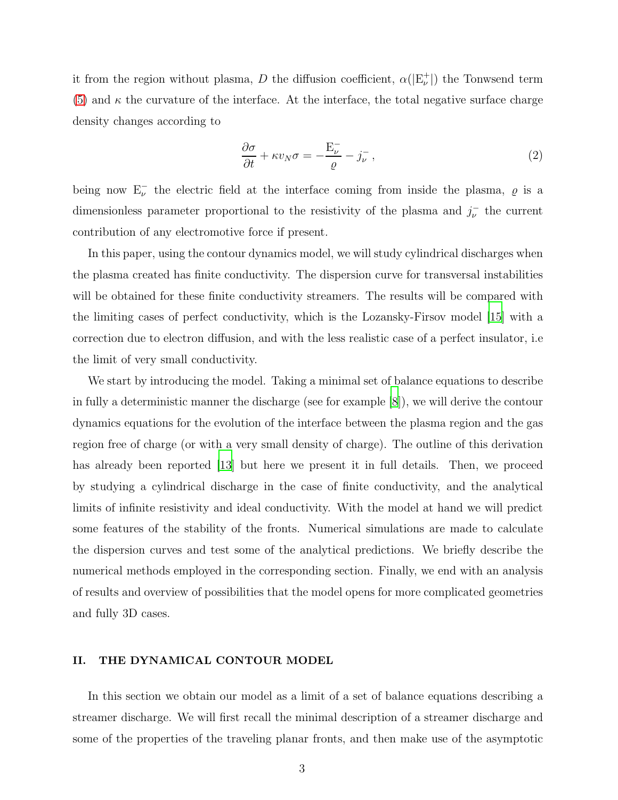it from the region without plasma, D the diffusion coefficient,  $\alpha(|E_{\nu}^+|)$  the Tonwsend term [\(5\)](#page-3-0) and  $\kappa$  the curvature of the interface. At the interface, the total negative surface charge density changes according to

<span id="page-2-0"></span>
$$
\frac{\partial \sigma}{\partial t} + \kappa v_N \sigma = -\frac{E_{\nu}^-}{\varrho} - j_{\nu}^-, \qquad (2)
$$

being now  $E_{\nu}^-$  the electric field at the interface coming from inside the plasma,  $\varrho$  is a dimensionless parameter proportional to the resistivity of the plasma and  $j_{\nu}^-$  the current contribution of any electromotive force if present.

In this paper, using the contour dynamics model, we will study cylindrical discharges when the plasma created has finite conductivity. The dispersion curve for transversal instabilities will be obtained for these finite conductivity streamers. The results will be compared with the limiting cases of perfect conductivity, which is the Lozansky-Firsov model [\[15](#page-19-4)] with a correction due to electron diffusion, and with the less realistic case of a perfect insulator, i.e the limit of very small conductivity.

We start by introducing the model. Taking a minimal set of balance equations to describe in fully a deterministic manner the discharge (see for example [\[8](#page-18-6)]), we will derive the contour dynamics equations for the evolution of the interface between the plasma region and the gas region free of charge (or with a very small density of charge). The outline of this derivation has already been reported [\[13\]](#page-19-2) but here we present it in full details. Then, we proceed by studying a cylindrical discharge in the case of finite conductivity, and the analytical limits of infinite resistivity and ideal conductivity. With the model at hand we will predict some features of the stability of the fronts. Numerical simulations are made to calculate the dispersion curves and test some of the analytical predictions. We briefly describe the numerical methods employed in the corresponding section. Finally, we end with an analysis of results and overview of possibilities that the model opens for more complicated geometries and fully 3D cases.

## II. THE DYNAMICAL CONTOUR MODEL

In this section we obtain our model as a limit of a set of balance equations describing a streamer discharge. We will first recall the minimal description of a streamer discharge and some of the properties of the traveling planar fronts, and then make use of the asymptotic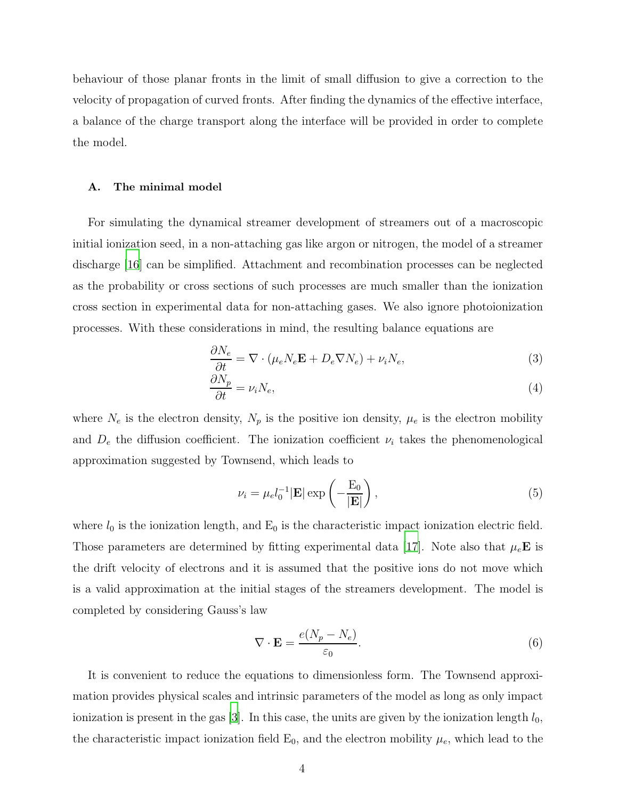behaviour of those planar fronts in the limit of small diffusion to give a correction to the velocity of propagation of curved fronts. After finding the dynamics of the effective interface, a balance of the charge transport along the interface will be provided in order to complete the model.

#### A. The minimal model

For simulating the dynamical streamer development of streamers out of a macroscopic initial ionization seed, in a non-attaching gas like argon or nitrogen, the model of a streamer discharge [\[16\]](#page-19-5) can be simplified. Attachment and recombination processes can be neglected as the probability or cross sections of such processes are much smaller than the ionization cross section in experimental data for non-attaching gases. We also ignore photoionization processes. With these considerations in mind, the resulting balance equations are

$$
\frac{\partial N_e}{\partial t} = \nabla \cdot (\mu_e N_e \mathbf{E} + D_e \nabla N_e) + \nu_i N_e,\tag{3}
$$

$$
\frac{\partial N_p}{\partial t} = \nu_i N_e,\tag{4}
$$

where  $N_e$  is the electron density,  $N_p$  is the positive ion density,  $\mu_e$  is the electron mobility and  $D_e$  the diffusion coefficient. The ionization coefficient  $\nu_i$  takes the phenomenological approximation suggested by Townsend, which leads to

<span id="page-3-0"></span>
$$
\nu_i = \mu_e l_0^{-1} |\mathbf{E}| \exp\left(-\frac{\mathbf{E}_0}{|\mathbf{E}|}\right),\tag{5}
$$

where  $l_0$  is the ionization length, and  $E_0$  is the characteristic impact ionization electric field. Those parameters are determined by fitting experimental data [\[17](#page-19-6)]. Note also that  $\mu_e$ **E** is the drift velocity of electrons and it is assumed that the positive ions do not move which is a valid approximation at the initial stages of the streamers development. The model is completed by considering Gauss's law

$$
\nabla \cdot \mathbf{E} = \frac{e(N_p - N_e)}{\varepsilon_0}.
$$
 (6)

It is convenient to reduce the equations to dimensionless form. The Townsend approximation provides physical scales and intrinsic parameters of the model as long as only impact ionization is present in the gas [\[3](#page-18-2)]. In this case, the units are given by the ionization length  $l_0$ , the characteristic impact ionization field  $E_0$ , and the electron mobility  $\mu_e$ , which lead to the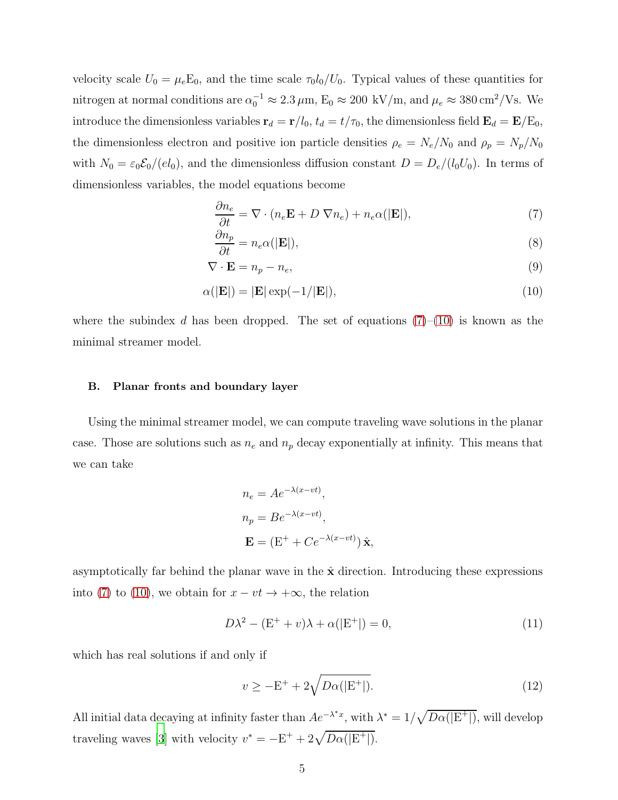velocity scale  $U_0 = \mu_e \mathbb{E}_0$ , and the time scale  $\tau_0 l_0/U_0$ . Typical values of these quantities for nitrogen at normal conditions are  $\alpha_0^{-1} \approx 2.3 \,\mu$ m,  $E_0 \approx 200 \text{ kV/m}$ , and  $\mu_e \approx 380 \text{ cm}^2/\text{Vs}$ . We introduce the dimensionless variables  $\mathbf{r}_d = \mathbf{r}/l_0$ ,  $t_d = t/\tau_0$ , the dimensionless field  $\mathbf{E}_d = \mathbf{E}/\text{E}_0$ , the dimensionless electron and positive ion particle densities  $\rho_e = N_e/N_0$  and  $\rho_p = N_p/N_0$ with  $N_0 = \varepsilon_0 \mathcal{E}_0/(el_0)$ , and the dimensionless diffusion constant  $D = D_e/(l_0U_0)$ . In terms of dimensionless variables, the model equations become

<span id="page-4-0"></span>
$$
\frac{\partial n_e}{\partial t} = \nabla \cdot (n_e \mathbf{E} + D \nabla n_e) + n_e \alpha(|\mathbf{E}|),\tag{7}
$$

$$
\frac{\partial n_p}{\partial t} = n_e \alpha(|\mathbf{E}|),\tag{8}
$$

$$
\nabla \cdot \mathbf{E} = n_p - n_e,\tag{9}
$$

$$
\alpha(|\mathbf{E}|) = |\mathbf{E}| \exp(-1/|\mathbf{E}|),\tag{10}
$$

where the subindex d has been dropped. The set of equations  $(7)-(10)$  $(7)-(10)$  is known as the minimal streamer model.

#### B. Planar fronts and boundary layer

Using the minimal streamer model, we can compute traveling wave solutions in the planar case. Those are solutions such as  $n_e$  and  $n_p$  decay exponentially at infinity. This means that we can take

$$
n_e = Ae^{-\lambda(x-vt)},
$$
  
\n
$$
n_p = Be^{-\lambda(x-vt)},
$$
  
\n
$$
\mathbf{E} = (E^+ + Ce^{-\lambda(x-vt)})\hat{\mathbf{x}},
$$

asymptotically far behind the planar wave in the  $\hat{\mathbf{x}}$  direction. Introducing these expressions into [\(7\)](#page-4-0) to [\(10\)](#page-4-0), we obtain for  $x - vt \rightarrow +\infty$ , the relation

$$
D\lambda^{2} - (E^{+} + v)\lambda + \alpha(|E^{+}|) = 0,
$$
\n(11)

which has real solutions if and only if

$$
v \ge -\mathcal{E}^+ + 2\sqrt{D\alpha(|\mathcal{E}^+|)}.
$$
\n(12)

All initial data decaying at infinity faster than  $Ae^{-\lambda^*x}$ , with  $\lambda^* = 1/\sqrt{D\alpha(|E^+|)}$ , will develop traveling waves [\[3\]](#page-18-2) with velocity  $v^* = -E^+ + 2\sqrt{D\alpha(|E^+|)}$ .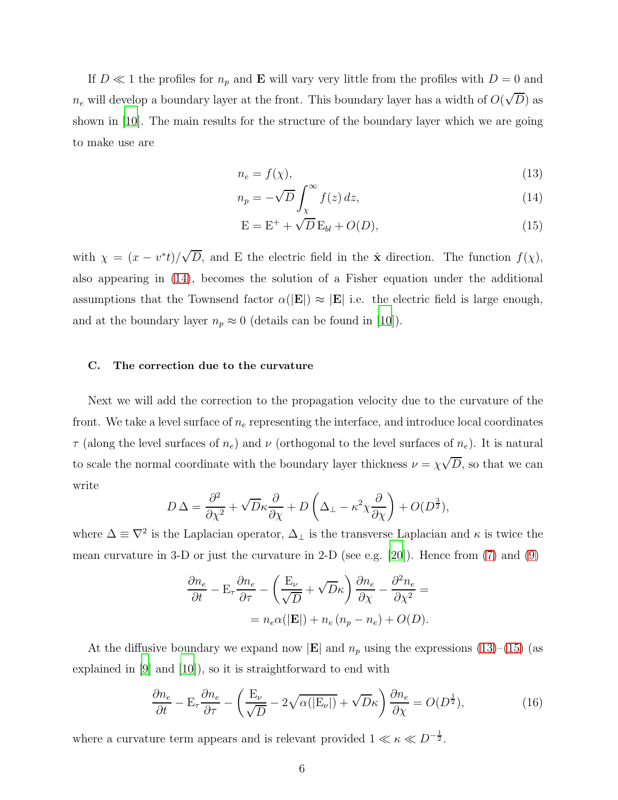If  $D \ll 1$  the profiles for  $n_p$  and **E** will vary very little from the profiles with  $D = 0$  and  $n_e$  will develop a boundary layer at the front. This boundary layer has a width of  $O(\sqrt{D})$  as shown in [\[10](#page-18-7)]. The main results for the structure of the boundary layer which we are going to make use are

<span id="page-5-0"></span>
$$
n_e = f(\chi),\tag{13}
$$

$$
n_p = -\sqrt{D} \int_{\chi}^{\infty} f(z) \, dz,\tag{14}
$$

$$
E = E^{+} + \sqrt{D} E_{bl} + O(D), \qquad (15)
$$

with  $\chi = (x - v^*t)/\sqrt{D}$ , and E the electric field in the  $\hat{\mathbf{x}}$  direction. The function  $f(\chi)$ , also appearing in [\(14\)](#page-5-0), becomes the solution of a Fisher equation under the additional assumptions that the Townsend factor  $\alpha(|\mathbf{E}|) \approx |\mathbf{E}|$  i.e. the electric field is large enough, and at the boundary layer  $n_p \approx 0$  (details can be found in [\[10](#page-18-7)]).

## C. The correction due to the curvature

Next we will add the correction to the propagation velocity due to the curvature of the front. We take a level surface of  $n_e$  representing the interface, and introduce local coordinates  $\tau$  (along the level surfaces of  $n_e$ ) and  $\nu$  (orthogonal to the level surfaces of  $n_e$ ). It is natural to scale the normal coordinate with the boundary layer thickness  $\nu = \chi \sqrt{D}$ , so that we can write

$$
D\,\Delta = \frac{\partial^2}{\partial \chi^2} + \sqrt{D}\kappa \frac{\partial}{\partial \chi} + D\left(\Delta_\perp - \kappa^2 \chi \frac{\partial}{\partial \chi}\right) + O(D^{\frac{3}{2}}),
$$

where  $\Delta \equiv \nabla^2$  is the Laplacian operator,  $\Delta_{\perp}$  is the transverse Laplacian and  $\kappa$  is twice the mean curvature in 3-D or just the curvature in 2-D (see e.g. [\[20](#page-19-7)]). Hence from [\(7\)](#page-4-0) and [\(9\)](#page-4-0)

$$
\frac{\partial n_e}{\partial t} - \mathbf{E}_{\tau} \frac{\partial n_e}{\partial \tau} - \left(\frac{\mathbf{E}_{\nu}}{\sqrt{D}} + \sqrt{D}\kappa\right) \frac{\partial n_e}{\partial \chi} - \frac{\partial^2 n_e}{\partial \chi^2} =
$$

$$
= n_e \alpha(|\mathbf{E}|) + n_e (n_p - n_e) + O(D).
$$

At the diffusive boundary we expand now  $|\mathbf{E}|$  and  $n_p$  using the expressions [\(13\)](#page-5-0)–[\(15\)](#page-5-0) (as explained in [\[9](#page-18-8)] and [\[10\]](#page-18-7)), so it is straightforward to end with

<span id="page-5-1"></span>
$$
\frac{\partial n_e}{\partial t} - \mathcal{E}_{\tau} \frac{\partial n_e}{\partial \tau} - \left(\frac{\mathcal{E}_{\nu}}{\sqrt{D}} - 2\sqrt{\alpha(|\mathcal{E}_{\nu}|)} + \sqrt{D}\kappa\right) \frac{\partial n_e}{\partial \chi} = O(D^{\frac{1}{2}}),\tag{16}
$$

where a curvature term appears and is relevant provided  $1 \ll \kappa \ll D^{-\frac{1}{2}}$ .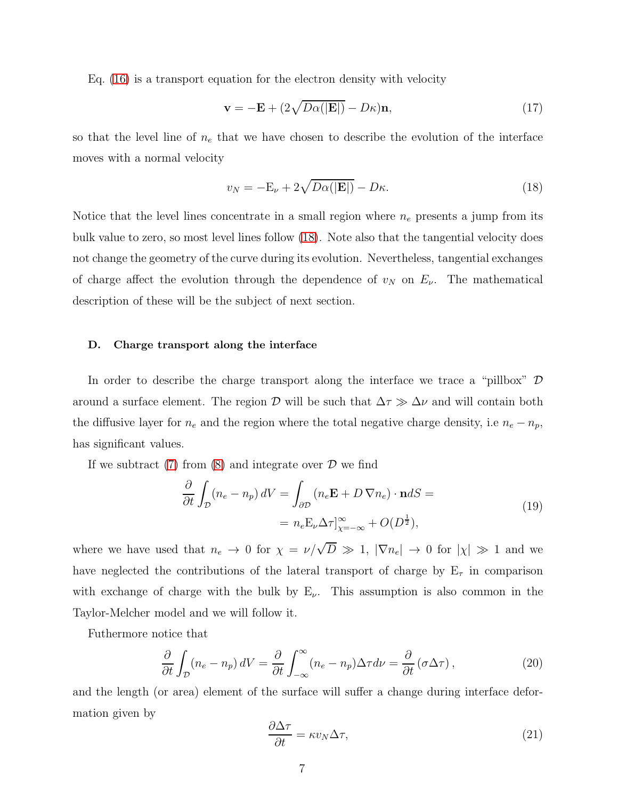Eq. [\(16\)](#page-5-1) is a transport equation for the electron density with velocity

$$
\mathbf{v} = -\mathbf{E} + (2\sqrt{D\alpha(|\mathbf{E}|)} - D\kappa)\mathbf{n},\tag{17}
$$

so that the level line of  $n_e$  that we have chosen to describe the evolution of the interface moves with a normal velocity

<span id="page-6-0"></span>
$$
v_N = -\mathcal{E}_{\nu} + 2\sqrt{D\alpha(|\mathbf{E}|)} - D\kappa.
$$
\n(18)

Notice that the level lines concentrate in a small region where  $n_e$  presents a jump from its bulk value to zero, so most level lines follow [\(18\)](#page-6-0). Note also that the tangential velocity does not change the geometry of the curve during its evolution. Nevertheless, tangential exchanges of charge affect the evolution through the dependence of  $v_N$  on  $E_\nu$ . The mathematical description of these will be the subject of next section.

## D. Charge transport along the interface

In order to describe the charge transport along the interface we trace a "pillbox"  $\mathcal D$ around a surface element. The region D will be such that  $\Delta \tau \gg \Delta \nu$  and will contain both the diffusive layer for  $n_e$  and the region where the total negative charge density, i.e  $n_e - n_p$ , has significant values.

If we subtract  $(7)$  from  $(8)$  and integrate over  $\mathcal D$  we find

$$
\frac{\partial}{\partial t} \int_{\mathcal{D}} (n_e - n_p) dV = \int_{\partial \mathcal{D}} (n_e \mathbf{E} + D \nabla n_e) \cdot \mathbf{n} dS =
$$
  
=  $n_e \mathbf{E}_{\nu} \Delta \tau]_{\chi=-\infty}^{\infty} + O(D^{\frac{1}{2}}),$  (19)

where we have used that  $n_e \to 0$  for  $\chi = \nu/\sqrt{D} \gg 1$ ,  $|\nabla n_e| \to 0$  for  $|\chi| \gg 1$  and we have neglected the contributions of the lateral transport of charge by  $E_{\tau}$  in comparison with exchange of charge with the bulk by  $E_{\nu}$ . This assumption is also common in the Taylor-Melcher model and we will follow it.

Futhermore notice that

$$
\frac{\partial}{\partial t} \int_{\mathcal{D}} (n_e - n_p) \, dV = \frac{\partial}{\partial t} \int_{-\infty}^{\infty} (n_e - n_p) \Delta \tau d\nu = \frac{\partial}{\partial t} (\sigma \Delta \tau), \tag{20}
$$

and the length (or area) element of the surface will suffer a change during interface deformation given by

$$
\frac{\partial \Delta \tau}{\partial t} = \kappa v_N \Delta \tau,\tag{21}
$$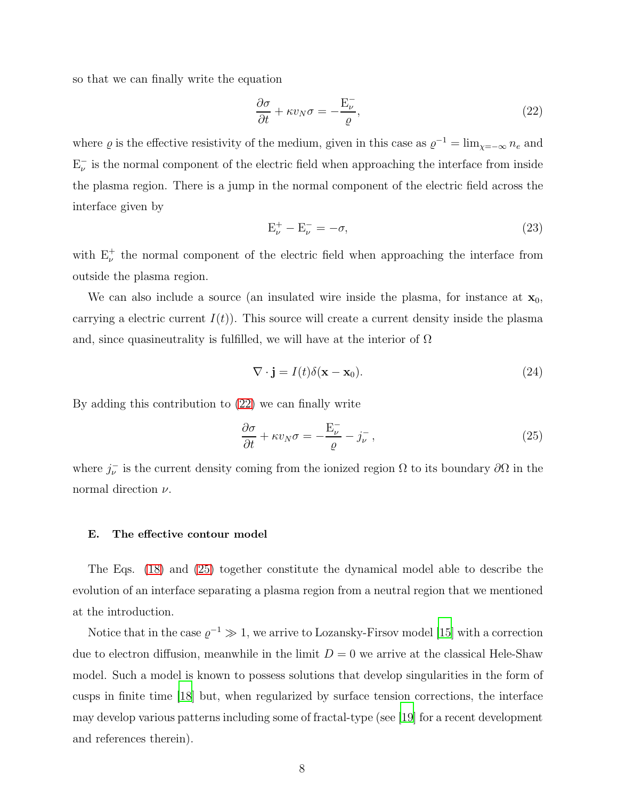so that we can finally write the equation

<span id="page-7-0"></span>
$$
\frac{\partial \sigma}{\partial t} + \kappa v_N \sigma = -\frac{E_{\nu}^-}{\varrho},\tag{22}
$$

where  $\varrho$  is the effective resistivity of the medium, given in this case as  $\varrho^{-1} = \lim_{\chi = -\infty} n_e$  and  $E_{\nu}^-$  is the normal component of the electric field when approaching the interface from inside the plasma region. There is a jump in the normal component of the electric field across the interface given by

<span id="page-7-2"></span>
$$
\mathbf{E}_{\nu}^{+} - \mathbf{E}_{\nu}^{-} = -\sigma,\tag{23}
$$

with  $E_{\nu}^{+}$  the normal component of the electric field when approaching the interface from outside the plasma region.

We can also include a source (an insulated wire inside the plasma, for instance at  $\mathbf{x}_0$ , carrying a electric current  $I(t)$ ). This source will create a current density inside the plasma and, since quasineutrality is fulfilled, we will have at the interior of  $\Omega$ 

<span id="page-7-3"></span>
$$
\nabla \cdot \mathbf{j} = I(t)\delta(\mathbf{x} - \mathbf{x}_0). \tag{24}
$$

By adding this contribution to [\(22\)](#page-7-0) we can finally write

<span id="page-7-1"></span>
$$
\frac{\partial \sigma}{\partial t} + \kappa v_N \sigma = -\frac{E_{\nu}^-}{\varrho} - j_{\nu}^-, \qquad (25)
$$

where  $j_{\nu}^-$  is the current density coming from the ionized region  $\Omega$  to its boundary  $\partial\Omega$  in the normal direction  $\nu$ .

## E. The effective contour model

The Eqs. [\(18\)](#page-6-0) and [\(25\)](#page-7-1) together constitute the dynamical model able to describe the evolution of an interface separating a plasma region from a neutral region that we mentioned at the introduction.

Notice that in the case  $\varrho^{-1} \gg 1$ , we arrive to Lozansky-Firsov model [\[15](#page-19-4)] with a correction due to electron diffusion, meanwhile in the limit  $D = 0$  we arrive at the classical Hele-Shaw model. Such a model is known to possess solutions that develop singularities in the form of cusps in finite time [\[18](#page-19-8)] but, when regularized by surface tension corrections, the interface may develop various patterns including some of fractal-type (see [\[19\]](#page-19-9) for a recent development and references therein).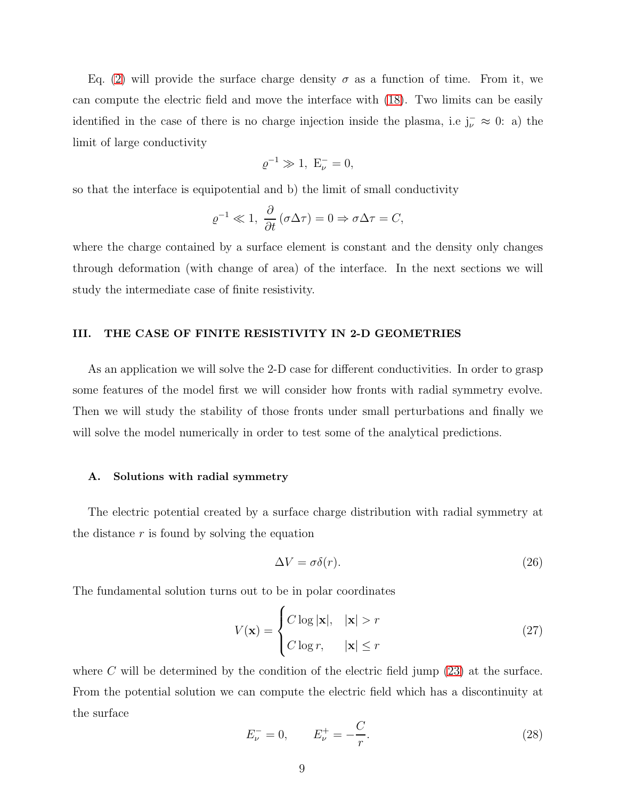Eq. [\(2\)](#page-2-0) will provide the surface charge density  $\sigma$  as a function of time. From it, we can compute the electric field and move the interface with [\(18\)](#page-6-0). Two limits can be easily identified in the case of there is no charge injection inside the plasma, i.e  $j_{\nu}^{-} \approx 0$ : a) the limit of large conductivity

$$
\varrho^{-1} \gg 1, \ E_{\nu}^{-} = 0,
$$

so that the interface is equipotential and b) the limit of small conductivity

$$
\varrho^{-1} \ll 1, \ \frac{\partial}{\partial t} (\sigma \Delta \tau) = 0 \Rightarrow \sigma \Delta \tau = C,
$$

where the charge contained by a surface element is constant and the density only changes through deformation (with change of area) of the interface. In the next sections we will study the intermediate case of finite resistivity.

## III. THE CASE OF FINITE RESISTIVITY IN 2-D GEOMETRIES

As an application we will solve the 2-D case for different conductivities. In order to grasp some features of the model first we will consider how fronts with radial symmetry evolve. Then we will study the stability of those fronts under small perturbations and finally we will solve the model numerically in order to test some of the analytical predictions.

#### A. Solutions with radial symmetry

The electric potential created by a surface charge distribution with radial symmetry at the distance  $r$  is found by solving the equation

$$
\Delta V = \sigma \delta(r). \tag{26}
$$

The fundamental solution turns out to be in polar coordinates

$$
V(\mathbf{x}) = \begin{cases} C \log |\mathbf{x}|, & |\mathbf{x}| > r \\ C \log r, & |\mathbf{x}| \le r \end{cases}
$$
 (27)

where  $C$  will be determined by the condition of the electric field jump  $(23)$  at the surface. From the potential solution we can compute the electric field which has a discontinuity at the surface

$$
E_{\nu}^{-} = 0, \qquad E_{\nu}^{+} = -\frac{C}{r}.
$$
\n(28)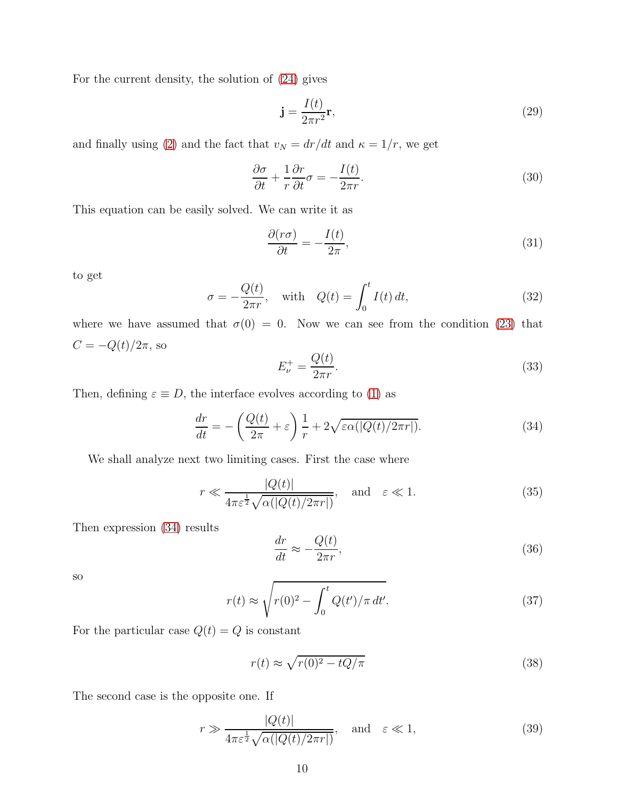For the current density, the solution of [\(24\)](#page-7-3) gives

$$
\mathbf{j} = \frac{I(t)}{2\pi r^2} \mathbf{r},\tag{29}
$$

and finally using [\(2\)](#page-2-0) and the fact that  $v_N = dr/dt$  and  $\kappa = 1/r$ , we get

$$
\frac{\partial \sigma}{\partial t} + \frac{1}{r} \frac{\partial r}{\partial t} \sigma = -\frac{I(t)}{2\pi r}.
$$
\n(30)

This equation can be easily solved. We can write it as

$$
\frac{\partial(r\sigma)}{\partial t} = -\frac{I(t)}{2\pi},\tag{31}
$$

to get

$$
\sigma = -\frac{Q(t)}{2\pi r}, \quad \text{with} \quad Q(t) = \int_0^t I(t) dt,
$$
\n(32)

where we have assumed that  $\sigma(0) = 0$ . Now we can see from the condition [\(23\)](#page-7-2) that  $C=-Q(t)/2\pi,$ so  $\sim$   $\sim$ 

$$
E_{\nu}^{+} = \frac{Q(t)}{2\pi r}.\tag{33}
$$

Then, defining  $\varepsilon \equiv D$ , the interface evolves according to [\(1\)](#page-1-0) as

<span id="page-9-0"></span>
$$
\frac{dr}{dt} = -\left(\frac{Q(t)}{2\pi} + \varepsilon\right) \frac{1}{r} + 2\sqrt{\varepsilon \alpha (|Q(t)/2\pi r|)}.
$$
\n(34)

We shall analyze next two limiting cases. First the case where

$$
r \ll \frac{|Q(t)|}{4\pi\varepsilon^{\frac{1}{2}}\sqrt{\alpha(|Q(t)/2\pi r|)}}, \quad \text{and} \quad \varepsilon \ll 1.
$$
 (35)

Then expression [\(34\)](#page-9-0) results

$$
\frac{dr}{dt} \approx -\frac{Q(t)}{2\pi r},\tag{36}
$$

so

$$
r(t) \approx \sqrt{r(0)^2 - \int_0^t Q(t')/\pi \, dt'}.
$$
\n(37)

For the particular case  $Q(t) = Q$  is constant

$$
r(t) \approx \sqrt{r(0)^2 - tQ/\pi} \tag{38}
$$

The second case is the opposite one. If

$$
r \gg \frac{|Q(t)|}{4\pi\varepsilon^{\frac{1}{2}}\sqrt{\alpha(|Q(t)/2\pi r|)}}, \quad \text{and} \quad \varepsilon \ll 1,
$$
\n(39)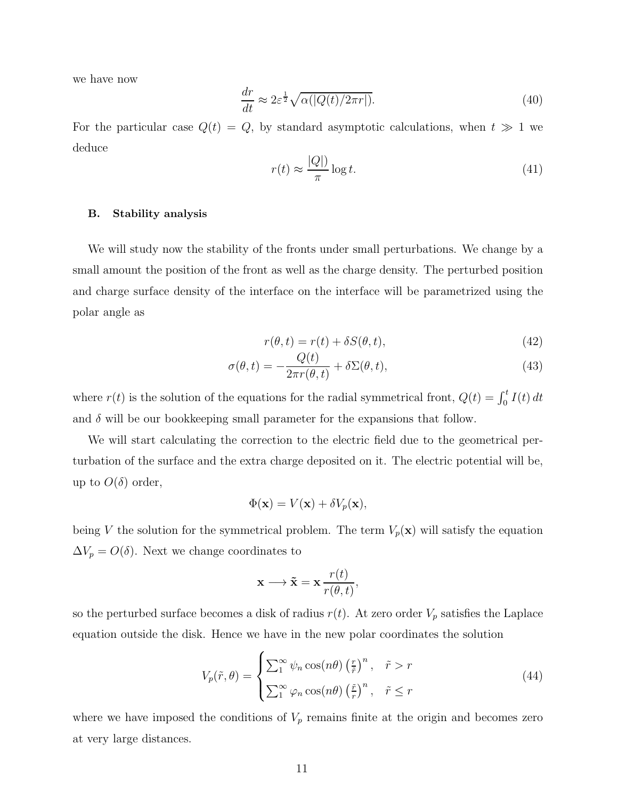we have now

$$
\frac{dr}{dt} \approx 2\varepsilon^{\frac{1}{2}} \sqrt{\alpha(|Q(t)/2\pi r|)}.
$$
\n(40)

For the particular case  $Q(t) = Q$ , by standard asymptotic calculations, when  $t \gg 1$  we deduce

$$
r(t) \approx \frac{|Q|}{\pi} \log t. \tag{41}
$$

### B. Stability analysis

We will study now the stability of the fronts under small perturbations. We change by a small amount the position of the front as well as the charge density. The perturbed position and charge surface density of the interface on the interface will be parametrized using the polar angle as

<span id="page-10-1"></span>
$$
r(\theta, t) = r(t) + \delta S(\theta, t),\tag{42}
$$

$$
\sigma(\theta, t) = -\frac{Q(t)}{2\pi r(\theta, t)} + \delta \Sigma(\theta, t),
$$
\n(43)

where  $r(t)$  is the solution of the equations for the radial symmetrical front,  $Q(t) = \int_0^t I(t) dt$ and  $\delta$  will be our bookkeeping small parameter for the expansions that follow.

We will start calculating the correction to the electric field due to the geometrical perturbation of the surface and the extra charge deposited on it. The electric potential will be, up to  $O(\delta)$  order,

$$
\Phi(\mathbf{x}) = V(\mathbf{x}) + \delta V_p(\mathbf{x}),
$$

being V the solution for the symmetrical problem. The term  $V_p(\mathbf{x})$  will satisfy the equation  $\Delta V_p = O(\delta)$ . Next we change coordinates to

$$
\mathbf{x} \longrightarrow \tilde{\mathbf{x}} = \mathbf{x} \, \frac{r(t)}{r(\theta, t)},
$$

so the perturbed surface becomes a disk of radius  $r(t)$ . At zero order  $V_p$  satisfies the Laplace equation outside the disk. Hence we have in the new polar coordinates the solution

<span id="page-10-0"></span>
$$
V_p(\tilde{r}, \theta) = \begin{cases} \sum_1^{\infty} \psi_n \cos(n\theta) \left(\frac{r}{\tilde{r}}\right)^n, & \tilde{r} > r \\ \sum_1^{\infty} \varphi_n \cos(n\theta) \left(\frac{\tilde{r}}{r}\right)^n, & \tilde{r} \le r \end{cases}
$$
(44)

where we have imposed the conditions of  $V_p$  remains finite at the origin and becomes zero at very large distances.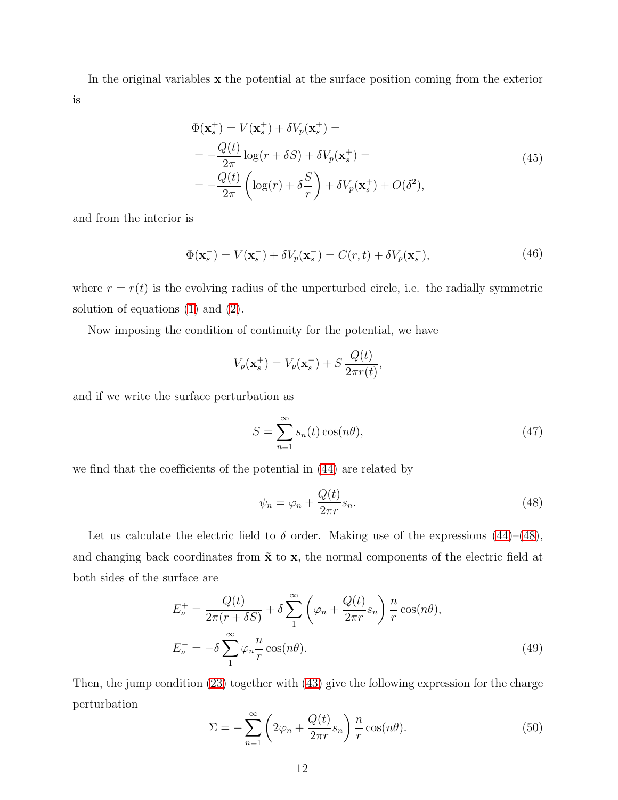In the original variables x the potential at the surface position coming from the exterior is

$$
\Phi(\mathbf{x}_s^+) = V(\mathbf{x}_s^+) + \delta V_p(\mathbf{x}_s^+) =
$$
\n
$$
= -\frac{Q(t)}{2\pi} \log(r + \delta S) + \delta V_p(\mathbf{x}_s^+) =
$$
\n
$$
= -\frac{Q(t)}{2\pi} \left( \log(r) + \delta \frac{S}{r} \right) + \delta V_p(\mathbf{x}_s^+) + O(\delta^2), \tag{45}
$$

and from the interior is

$$
\Phi(\mathbf{x}_s^-) = V(\mathbf{x}_s^-) + \delta V_p(\mathbf{x}_s^-) = C(r, t) + \delta V_p(\mathbf{x}_s^-),\tag{46}
$$

where  $r = r(t)$  is the evolving radius of the unperturbed circle, i.e. the radially symmetric solution of equations [\(1\)](#page-1-0) and [\(2\)](#page-2-0).

Now imposing the condition of continuity for the potential, we have

$$
V_p(\mathbf{x}_s^+) = V_p(\mathbf{x}_s^-) + S \frac{Q(t)}{2\pi r(t)},
$$

and if we write the surface perturbation as

<span id="page-11-2"></span>
$$
S = \sum_{n=1}^{\infty} s_n(t) \cos(n\theta),
$$
\n(47)

we find that the coefficients of the potential in [\(44\)](#page-10-0) are related by

<span id="page-11-0"></span>
$$
\psi_n = \varphi_n + \frac{Q(t)}{2\pi r} s_n. \tag{48}
$$

Let us calculate the electric field to  $\delta$  order. Making use of the expressions [\(44\)](#page-10-0)–[\(48\)](#page-11-0), and changing back coordinates from  $\tilde{x}$  to  $x$ , the normal components of the electric field at both sides of the surface are

<span id="page-11-1"></span>
$$
E_{\nu}^{+} = \frac{Q(t)}{2\pi(r + \delta S)} + \delta \sum_{1}^{\infty} \left(\varphi_{n} + \frac{Q(t)}{2\pi r} s_{n}\right) \frac{n}{r} \cos(n\theta),
$$
  
\n
$$
E_{\nu}^{-} = -\delta \sum_{1}^{\infty} \varphi_{n} \frac{n}{r} \cos(n\theta).
$$
\n(49)

Then, the jump condition [\(23\)](#page-7-2) together with [\(43\)](#page-10-1) give the following expression for the charge perturbation

<span id="page-11-3"></span>
$$
\Sigma = -\sum_{n=1}^{\infty} \left( 2\varphi_n + \frac{Q(t)}{2\pi r} s_n \right) \frac{n}{r} \cos(n\theta).
$$
 (50)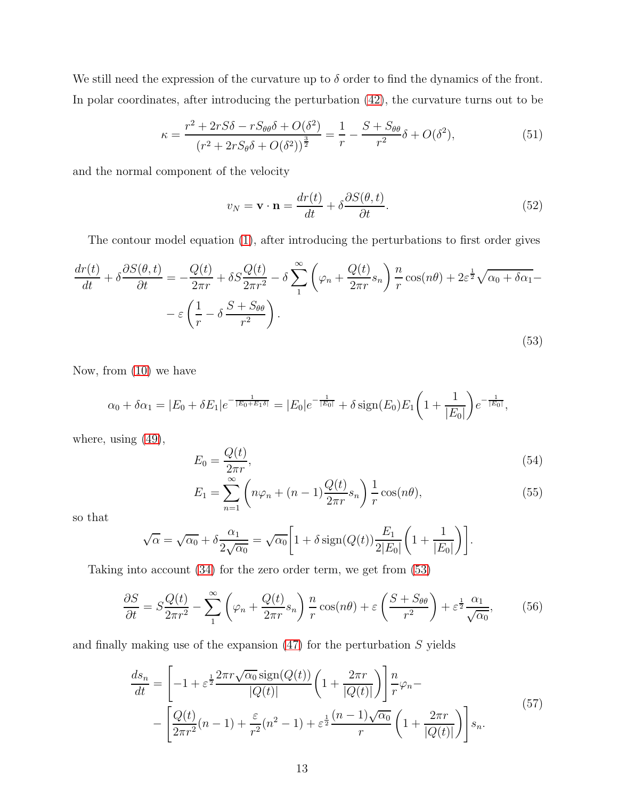We still need the expression of the curvature up to  $\delta$  order to find the dynamics of the front. In polar coordinates, after introducing the perturbation [\(42\)](#page-10-1), the curvature turns out to be

<span id="page-12-1"></span>
$$
\kappa = \frac{r^2 + 2rS\delta - rS_{\theta\theta}\delta + O(\delta^2)}{(r^2 + 2rS_{\theta}\delta + O(\delta^2))^{\frac{3}{2}}} = \frac{1}{r} - \frac{S + S_{\theta\theta}}{r^2}\delta + O(\delta^2),\tag{51}
$$

and the normal component of the velocity

$$
v_N = \mathbf{v} \cdot \mathbf{n} = \frac{dr(t)}{dt} + \delta \frac{\partial S(\theta, t)}{\partial t}.
$$
 (52)

The contour model equation [\(1\)](#page-1-0), after introducing the perturbations to first order gives

<span id="page-12-0"></span>
$$
\frac{dr(t)}{dt} + \delta \frac{\partial S(\theta, t)}{\partial t} = -\frac{Q(t)}{2\pi r} + \delta S \frac{Q(t)}{2\pi r^2} - \delta \sum_{1}^{\infty} \left( \varphi_n + \frac{Q(t)}{2\pi r} s_n \right) \frac{n}{r} \cos(n\theta) + 2\varepsilon^{\frac{1}{2}} \sqrt{\alpha_0 + \delta \alpha_1} - \varepsilon \left( \frac{1}{r} - \delta \frac{S + S_{\theta\theta}}{r^2} \right).
$$
\n(53)

Now, from [\(10\)](#page-4-0) we have

$$
\alpha_0 + \delta \alpha_1 = |E_0 + \delta E_1|e^{-\frac{1}{|E_0 + E_1 \delta|}} = |E_0|e^{-\frac{1}{|E_0|}} + \delta \operatorname{sign}(E_0)E_1\left(1 + \frac{1}{|E_0|}\right)e^{-\frac{1}{|E_0|}},
$$

where, using [\(49\)](#page-11-1),

$$
E_0 = \frac{Q(t)}{2\pi r},\tag{54}
$$

$$
E_1 = \sum_{n=1}^{\infty} \left( n\varphi_n + (n-1)\frac{Q(t)}{2\pi r} s_n \right) \frac{1}{r} \cos(n\theta),\tag{55}
$$

so that

$$
\sqrt{\alpha} = \sqrt{\alpha_0} + \delta \frac{\alpha_1}{2\sqrt{\alpha_0}} = \sqrt{\alpha_0} \left[ 1 + \delta \operatorname{sign}(Q(t)) \frac{E_1}{2|E_0|} \left( 1 + \frac{1}{|E_0|} \right) \right].
$$

Taking into account [\(34\)](#page-9-0) for the zero order term, we get from [\(53\)](#page-12-0)

$$
\frac{\partial S}{\partial t} = S \frac{Q(t)}{2\pi r^2} - \sum_{1}^{\infty} \left( \varphi_n + \frac{Q(t)}{2\pi r} s_n \right) \frac{n}{r} \cos(n\theta) + \varepsilon \left( \frac{S + S_{\theta\theta}}{r^2} \right) + \varepsilon^{\frac{1}{2}} \frac{\alpha_1}{\sqrt{\alpha_0}},\tag{56}
$$

<span id="page-12-2"></span>and finally making use of the expansion  $(47)$  for the perturbation  $S$  yields

$$
\frac{ds_n}{dt} = \left[ -1 + \varepsilon^{\frac{1}{2}} \frac{2\pi r \sqrt{\alpha_0} \operatorname{sign}(Q(t))}{|Q(t)|} \left( 1 + \frac{2\pi r}{|Q(t)|} \right) \right] \frac{n}{r} \varphi_n - \left[ \frac{Q(t)}{2\pi r^2} (n-1) + \frac{\varepsilon}{r^2} (n^2 - 1) + \varepsilon^{\frac{1}{2}} \frac{(n-1)\sqrt{\alpha_0}}{r} \left( 1 + \frac{2\pi r}{|Q(t)|} \right) \right] s_n.
$$
\n
$$
(57)
$$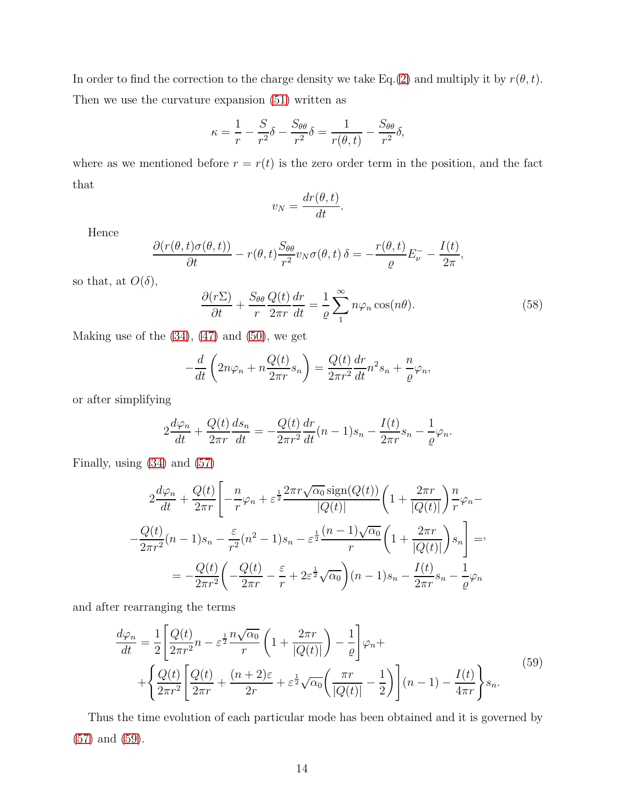In order to find the correction to the charge density we take Eq.[\(2\)](#page-2-0) and multiply it by  $r(\theta, t)$ . Then we use the curvature expansion [\(51\)](#page-12-1) written as

$$
\kappa = \frac{1}{r} - \frac{S}{r^2} \delta - \frac{S_{\theta\theta}}{r^2} \delta = \frac{1}{r(\theta, t)} - \frac{S_{\theta\theta}}{r^2} \delta,
$$

where as we mentioned before  $r = r(t)$  is the zero order term in the position, and the fact that

$$
v_N = \frac{dr(\theta, t)}{dt}.
$$

Hence

$$
\frac{\partial (r(\theta, t)\sigma(\theta, t))}{\partial t} - r(\theta, t)\frac{S_{\theta\theta}}{r^2}v_N\sigma(\theta, t) \delta = -\frac{r(\theta, t)}{\varrho}E_{\nu}^- - \frac{I(t)}{2\pi},
$$

so that, at  $O(\delta)$ ,

$$
\frac{\partial(r\Sigma)}{\partial t} + \frac{S_{\theta\theta}}{r} \frac{Q(t)}{2\pi r} \frac{dr}{dt} = \frac{1}{\varrho} \sum_{1}^{\infty} n\varphi_n \cos(n\theta). \tag{58}
$$

Making use of the  $(34)$ ,  $(47)$  and  $(50)$ , we get

$$
-\frac{d}{dt}\left(2n\varphi_n + n\frac{Q(t)}{2\pi r}s_n\right) = \frac{Q(t)}{2\pi r^2}\frac{dr}{dt}n^2s_n + \frac{n}{\varrho}\varphi_n,
$$

or after simplifying

$$
2\frac{d\varphi_n}{dt} + \frac{Q(t)}{2\pi r}\frac{ds_n}{dt} = -\frac{Q(t)}{2\pi r^2}\frac{dr}{dt}(n-1)s_n - \frac{I(t)}{2\pi r}s_n - \frac{1}{\varrho}\varphi_n.
$$

Finally, using [\(34\)](#page-9-0) and [\(57\)](#page-12-2)

$$
2\frac{d\varphi_n}{dt} + \frac{Q(t)}{2\pi r} \left[ -\frac{n}{r}\varphi_n + \varepsilon^{\frac{1}{2}} \frac{2\pi r \sqrt{\alpha_0} \operatorname{sign}(Q(t))}{|Q(t)|} \left( 1 + \frac{2\pi r}{|Q(t)|} \right) \frac{n}{r} \varphi_n - \frac{Q(t)}{2\pi r^2} (n-1)s_n - \frac{\varepsilon}{r^2} (n^2-1)s_n - \varepsilon^{\frac{1}{2}} \frac{(n-1)\sqrt{\alpha_0}}{r} \left( 1 + \frac{2\pi r}{|Q(t)|} \right) s_n \right] = 0
$$
  
= 
$$
-\frac{Q(t)}{2\pi r^2} \left( -\frac{Q(t)}{2\pi r} - \frac{\varepsilon}{r} + 2\varepsilon^{\frac{1}{2}} \sqrt{\alpha_0} \right) (n-1)s_n - \frac{I(t)}{2\pi r} s_n - \frac{1}{\varrho} \varphi_n
$$

<span id="page-13-0"></span>and after rearranging the terms

$$
\frac{d\varphi_n}{dt} = \frac{1}{2} \left[ \frac{Q(t)}{2\pi r^2} n - \varepsilon^{\frac{1}{2}} \frac{n\sqrt{\alpha_0}}{r} \left( 1 + \frac{2\pi r}{|Q(t)|} \right) - \frac{1}{\varrho} \right] \varphi_n + \left\{ \frac{Q(t)}{2\pi r^2} \left[ \frac{Q(t)}{2\pi r} + \frac{(n+2)\varepsilon}{2r} + \varepsilon^{\frac{1}{2}} \sqrt{\alpha_0} \left( \frac{\pi r}{|Q(t)|} - \frac{1}{2} \right) \right] (n-1) - \frac{I(t)}{4\pi r} \right\} s_n.
$$
\n
$$
(59)
$$

Thus the time evolution of each particular mode has been obtained and it is governed by [\(57\)](#page-12-2) and [\(59\)](#page-13-0).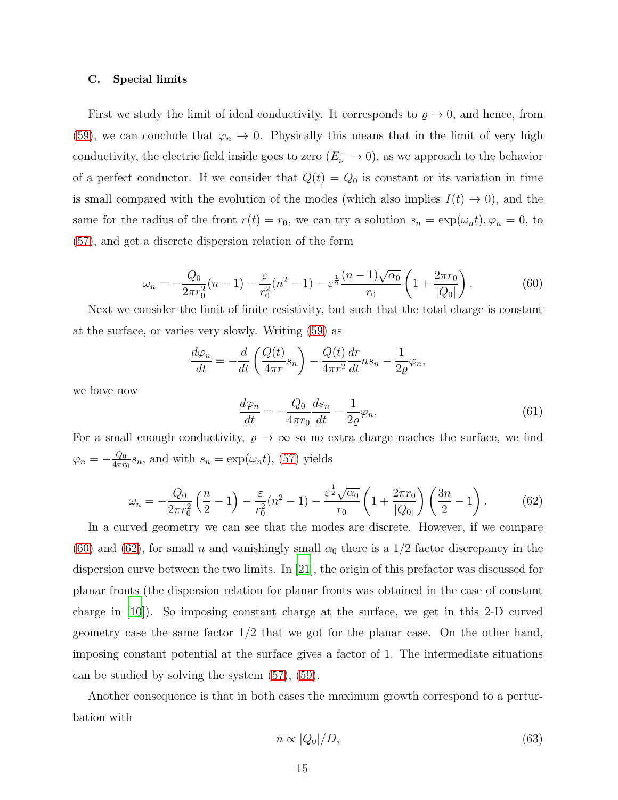#### C. Special limits

First we study the limit of ideal conductivity. It corresponds to  $\rho \to 0$ , and hence, from [\(59\)](#page-13-0), we can conclude that  $\varphi_n \to 0$ . Physically this means that in the limit of very high conductivity, the electric field inside goes to zero  $(E_{\nu}^{-} \to 0)$ , as we approach to the behavior of a perfect conductor. If we consider that  $Q(t) = Q_0$  is constant or its variation in time is small compared with the evolution of the modes (which also implies  $I(t) \rightarrow 0$ ), and the same for the radius of the front  $r(t) = r_0$ , we can try a solution  $s_n = \exp(\omega_n t)$ ,  $\varphi_n = 0$ , to [\(57\)](#page-12-2), and get a discrete dispersion relation of the form

<span id="page-14-0"></span>
$$
\omega_n = -\frac{Q_0}{2\pi r_0^2} (n-1) - \frac{\varepsilon}{r_0^2} (n^2 - 1) - \varepsilon^{\frac{1}{2}} \frac{(n-1)\sqrt{\alpha_0}}{r_0} \left( 1 + \frac{2\pi r_0}{|Q_0|} \right). \tag{60}
$$

Next we consider the limit of finite resistivity, but such that the total charge is constant at the surface, or varies very slowly. Writing [\(59\)](#page-13-0) as

$$
\frac{d\varphi_n}{dt} = -\frac{d}{dt}\left(\frac{Q(t)}{4\pi r}s_n\right) - \frac{Q(t)}{4\pi r^2}\frac{dr}{dt}ns_n - \frac{1}{2\varrho}\varphi_n,
$$

we have now

$$
\frac{d\varphi_n}{dt} = -\frac{Q_0}{4\pi r_0} \frac{ds_n}{dt} - \frac{1}{2\varrho} \varphi_n.
$$
\n(61)

For a small enough conductivity,  $\rho \to \infty$  so no extra charge reaches the surface, we find  $\varphi_n=-\frac{Q_0}{4\pi r}$  $\frac{Q_0}{4\pi r_0} s_n$ , and with  $s_n = \exp(\omega_n t)$ , [\(57\)](#page-12-2) yields

<span id="page-14-1"></span>
$$
\omega_n = -\frac{Q_0}{2\pi r_0^2} \left(\frac{n}{2} - 1\right) - \frac{\varepsilon}{r_0^2} (n^2 - 1) - \frac{\varepsilon^{\frac{1}{2}} \sqrt{\alpha_0}}{r_0} \left(1 + \frac{2\pi r_0}{|Q_0|}\right) \left(\frac{3n}{2} - 1\right). \tag{62}
$$

In a curved geometry we can see that the modes are discrete. However, if we compare [\(60\)](#page-14-0) and [\(62\)](#page-14-1), for small n and vanishingly small  $\alpha_0$  there is a 1/2 factor discrepancy in the dispersion curve between the two limits. In [\[21](#page-19-10)], the origin of this prefactor was discussed for planar fronts (the dispersion relation for planar fronts was obtained in the case of constant charge in [\[10\]](#page-18-7)). So imposing constant charge at the surface, we get in this 2-D curved geometry case the same factor 1/2 that we got for the planar case. On the other hand, imposing constant potential at the surface gives a factor of 1. The intermediate situations can be studied by solving the system [\(57\)](#page-12-2), [\(59\)](#page-13-0).

Another consequence is that in both cases the maximum growth correspond to a perturbation with

$$
n \propto |Q_0|/D,\tag{63}
$$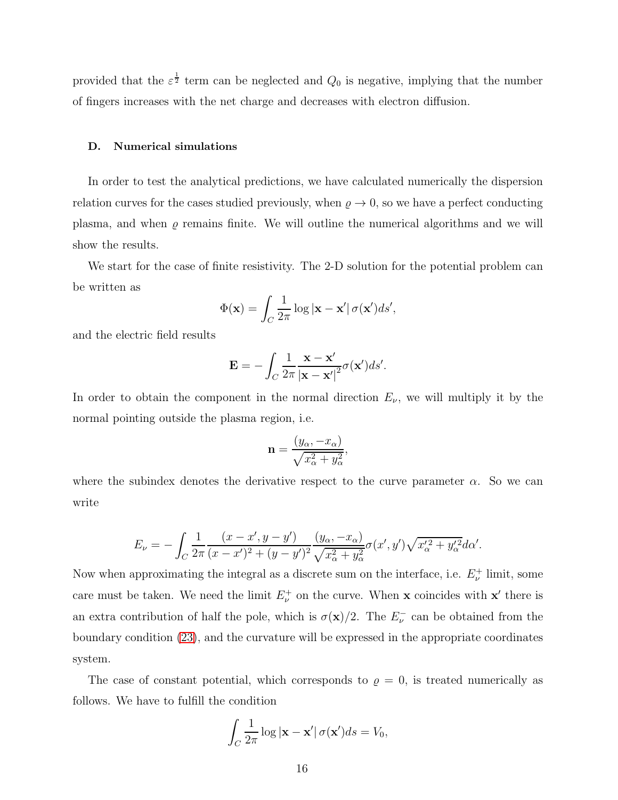provided that the  $\varepsilon^{\frac{1}{2}}$  term can be neglected and  $Q_0$  is negative, implying that the number of fingers increases with the net charge and decreases with electron diffusion.

## D. Numerical simulations

In order to test the analytical predictions, we have calculated numerically the dispersion relation curves for the cases studied previously, when  $\varrho \to 0$ , so we have a perfect conducting plasma, and when  $\rho$  remains finite. We will outline the numerical algorithms and we will show the results.

We start for the case of finite resistivity. The 2-D solution for the potential problem can be written as

$$
\Phi(\mathbf{x}) = \int_C \frac{1}{2\pi} \log |\mathbf{x} - \mathbf{x}'| \sigma(\mathbf{x}') ds',
$$

and the electric field results

$$
\mathbf{E} = -\int_C \frac{1}{2\pi} \frac{\mathbf{x} - \mathbf{x}'}{|\mathbf{x} - \mathbf{x}'|^2} \sigma(\mathbf{x}') ds'.
$$

In order to obtain the component in the normal direction  $E_{\nu}$ , we will multiply it by the normal pointing outside the plasma region, i.e.

$$
\mathbf{n} = \frac{(y_{\alpha}, -x_{\alpha})}{\sqrt{x_{\alpha}^2 + y_{\alpha}^2}},
$$

where the subindex denotes the derivative respect to the curve parameter  $\alpha$ . So we can write

$$
E_{\nu} = -\int_C \frac{1}{2\pi} \frac{(x - x', y - y')}{(x - x')^2 + (y - y')^2} \frac{(y_\alpha, -x_\alpha)}{\sqrt{x_\alpha^2 + y_\alpha^2}} \sigma(x', y') \sqrt{x_\alpha'^2 + y_\alpha'^2} d\alpha'.
$$

Now when approximating the integral as a discrete sum on the interface, i.e.  $E_{\nu}^+$  limit, some care must be taken. We need the limit  $E_{\nu}^{+}$  on the curve. When **x** coincides with **x'** there is an extra contribution of half the pole, which is  $\sigma(\mathbf{x})/2$ . The  $E_{\nu}^-$  can be obtained from the boundary condition [\(23\)](#page-7-2), and the curvature will be expressed in the appropriate coordinates system.

The case of constant potential, which corresponds to  $\rho = 0$ , is treated numerically as follows. We have to fulfill the condition

$$
\int_C \frac{1}{2\pi} \log |\mathbf{x} - \mathbf{x}'| \sigma(\mathbf{x}') ds = V_0,
$$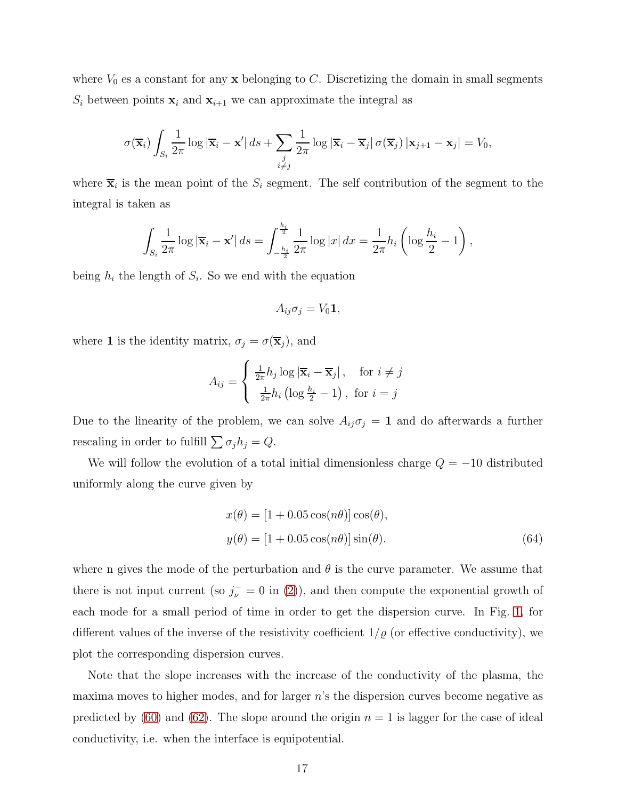where  $V_0$  es a constant for any  $\bf{x}$  belonging to C. Discretizing the domain in small segments  $S_i$  between points  $\mathbf{x}_i$  and  $\mathbf{x}_{i+1}$  we can approximate the integral as

$$
\sigma(\overline{\mathbf{x}}_i) \int_{S_i} \frac{1}{2\pi} \log |\overline{\mathbf{x}}_i - \mathbf{x}'| \, ds + \sum_{\substack{j \\ i \neq j}} \frac{1}{2\pi} \log |\overline{\mathbf{x}}_i - \overline{\mathbf{x}}_j| \, \sigma(\overline{\mathbf{x}}_j) \, |\mathbf{x}_{j+1} - \mathbf{x}_j| = V_0,
$$

where  $\overline{\mathbf{x}}_i$  is the mean point of the  $S_i$  segment. The self contribution of the segment to the integral is taken as

$$
\int_{S_i} \frac{1}{2\pi} \log |\overline{\mathbf{x}}_i - \mathbf{x}'| \, ds = \int_{-\frac{h_i}{2}}^{\frac{h_i}{2}} \frac{1}{2\pi} \log |x| \, dx = \frac{1}{2\pi} h_i \left( \log \frac{h_i}{2} - 1 \right),
$$

being  $h_i$  the length of  $S_i$ . So we end with the equation

$$
A_{ij}\sigma_j = V_0\mathbf{1},
$$

where **1** is the identity matrix,  $\sigma_j = \sigma(\overline{\mathbf{x}}_j)$ , and

$$
A_{ij} = \begin{cases} \frac{1}{2\pi} h_j \log |\overline{\mathbf{x}}_i - \overline{\mathbf{x}}_j|, & \text{for } i \neq j \\ \frac{1}{2\pi} h_i \left( \log \frac{h_i}{2} - 1 \right), & \text{for } i = j \end{cases}
$$

Due to the linearity of the problem, we can solve  $A_{ij}\sigma_j = 1$  and do afterwards a further rescaling in order to fulfill  $\sum \sigma_j h_j = Q$ .

We will follow the evolution of a total initial dimensionless charge  $Q = -10$  distributed uniformly along the curve given by

$$
x(\theta) = [1 + 0.05 \cos(n\theta)] \cos(\theta),
$$
  
\n
$$
y(\theta) = [1 + 0.05 \cos(n\theta)] \sin(\theta).
$$
 (64)

where n gives the mode of the perturbation and  $\theta$  is the curve parameter. We assume that there is not input current (so  $j_{\nu}^- = 0$  in [\(2\)](#page-2-0)), and then compute the exponential growth of each mode for a small period of time in order to get the dispersion curve. In Fig. [1,](#page-17-0) for different values of the inverse of the resistivity coefficient  $1/\varrho$  (or effective conductivity), we plot the corresponding dispersion curves.

Note that the slope increases with the increase of the conductivity of the plasma, the maxima moves to higher modes, and for larger  $n$ 's the dispersion curves become negative as predicted by [\(60\)](#page-14-0) and [\(62\)](#page-14-1). The slope around the origin  $n = 1$  is lagger for the case of ideal conductivity, i.e. when the interface is equipotential.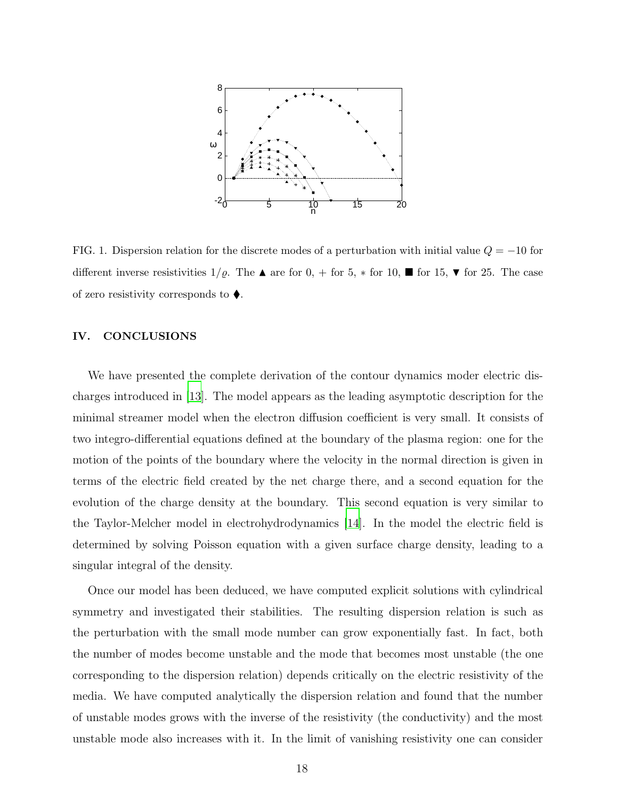

<span id="page-17-0"></span>FIG. 1. Dispersion relation for the discrete modes of a perturbation with initial value  $Q = -10$  for different inverse resistivities  $1/\varrho$ . The  $\blacktriangle$  are for  $0, +$  for  $5, *$  for  $10, \blacktriangleright$  for  $15, \blacktriangleright$  for 25. The case of zero resistivity corresponds to  $\blacklozenge$ .

## IV. CONCLUSIONS

We have presented the complete derivation of the contour dynamics moder electric discharges introduced in [\[13](#page-19-2)]. The model appears as the leading asymptotic description for the minimal streamer model when the electron diffusion coefficient is very small. It consists of two integro-differential equations defined at the boundary of the plasma region: one for the motion of the points of the boundary where the velocity in the normal direction is given in terms of the electric field created by the net charge there, and a second equation for the evolution of the charge density at the boundary. This second equation is very similar to the Taylor-Melcher model in electrohydrodynamics [\[14\]](#page-19-3). In the model the electric field is determined by solving Poisson equation with a given surface charge density, leading to a singular integral of the density.

Once our model has been deduced, we have computed explicit solutions with cylindrical symmetry and investigated their stabilities. The resulting dispersion relation is such as the perturbation with the small mode number can grow exponentially fast. In fact, both the number of modes become unstable and the mode that becomes most unstable (the one corresponding to the dispersion relation) depends critically on the electric resistivity of the media. We have computed analytically the dispersion relation and found that the number of unstable modes grows with the inverse of the resistivity (the conductivity) and the most unstable mode also increases with it. In the limit of vanishing resistivity one can consider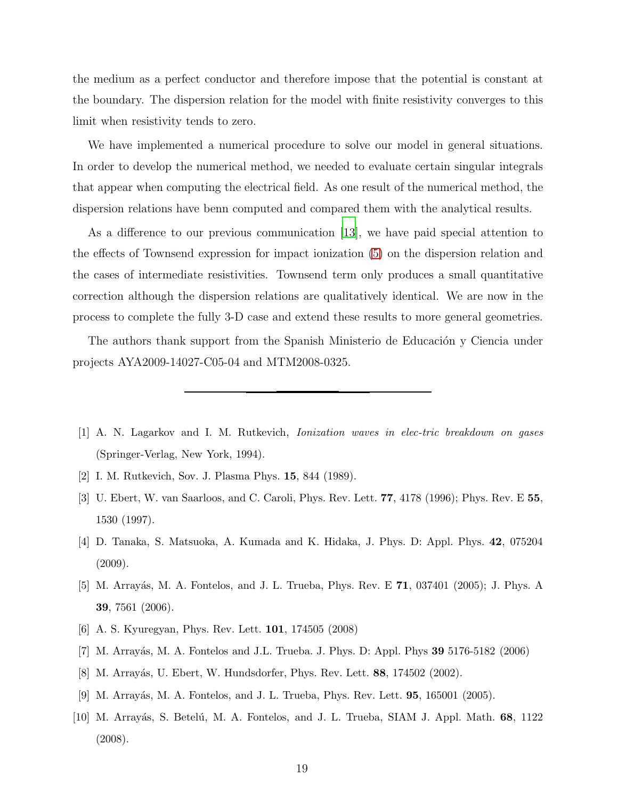the medium as a perfect conductor and therefore impose that the potential is constant at the boundary. The dispersion relation for the model with finite resistivity converges to this limit when resistivity tends to zero.

We have implemented a numerical procedure to solve our model in general situations. In order to develop the numerical method, we needed to evaluate certain singular integrals that appear when computing the electrical field. As one result of the numerical method, the dispersion relations have benn computed and compared them with the analytical results.

As a difference to our previous communication [\[13](#page-19-2)], we have paid special attention to the effects of Townsend expression for impact ionization [\(5\)](#page-3-0) on the dispersion relation and the cases of intermediate resistivities. Townsend term only produces a small quantitative correction although the dispersion relations are qualitatively identical. We are now in the process to complete the fully 3-D case and extend these results to more general geometries.

The authors thank support from the Spanish Ministerio de Educación y Ciencia under projects AYA2009-14027-C05-04 and MTM2008-0325.

- <span id="page-18-0"></span>[1] A. N. Lagarkov and I. M. Rutkevich, Ionization waves in elec-tric breakdown on gases (Springer-Verlag, New York, 1994).
- <span id="page-18-1"></span>[2] I. M. Rutkevich, Sov. J. Plasma Phys. 15, 844 (1989).
- <span id="page-18-2"></span>[3] U. Ebert, W. van Saarloos, and C. Caroli, Phys. Rev. Lett. 77, 4178 (1996); Phys. Rev. E 55, 1530 (1997).
- [4] D. Tanaka, S. Matsuoka, A. Kumada and K. Hidaka, J. Phys. D: Appl. Phys. 42, 075204 (2009).
- <span id="page-18-3"></span>[5] M. Arrayás, M. A. Fontelos, and J. L. Trueba, Phys. Rev. E **71**, 037401 (2005); J. Phys. A 39, 7561 (2006).
- <span id="page-18-4"></span>[6] A. S. Kyuregyan, Phys. Rev. Lett. 101, 174505 (2008)
- <span id="page-18-5"></span>[7] M. Arrayás, M. A. Fontelos and J.L. Trueba. J. Phys. D: Appl. Phys 39 5176-5182 (2006)
- <span id="page-18-6"></span>[8] M. Arrayás, U. Ebert, W. Hundsdorfer, Phys. Rev. Lett. 88, 174502 (2002).
- <span id="page-18-8"></span>[9] M. Arrayás, M. A. Fontelos, and J. L. Trueba, Phys. Rev. Lett. **95**, 165001 (2005).
- <span id="page-18-7"></span>[10] M. Arrayás, S. Betelú, M. A. Fontelos, and J. L. Trueba, SIAM J. Appl. Math. 68, 1122 (2008).